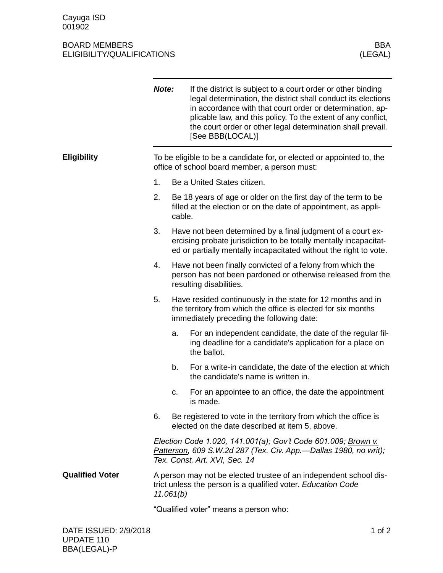## BOARD MEMBERS BOARD MEMBERS BOARD MEMBERS (LEGAL) ELIGIBILITY/QUALIFICATIONS

|                        | Note:                                                                                                                                                              |                                                                                                                                                                                                       | If the district is subject to a court order or other binding<br>legal determination, the district shall conduct its elections<br>in accordance with that court order or determination, ap-<br>plicable law, and this policy. To the extent of any conflict,<br>the court order or other legal determination shall prevail.<br>[See BBB(LOCAL)] |  |
|------------------------|--------------------------------------------------------------------------------------------------------------------------------------------------------------------|-------------------------------------------------------------------------------------------------------------------------------------------------------------------------------------------------------|------------------------------------------------------------------------------------------------------------------------------------------------------------------------------------------------------------------------------------------------------------------------------------------------------------------------------------------------|--|
| <b>Eligibility</b>     | To be eligible to be a candidate for, or elected or appointed to, the<br>office of school board member, a person must:                                             |                                                                                                                                                                                                       |                                                                                                                                                                                                                                                                                                                                                |  |
|                        | 1.                                                                                                                                                                 |                                                                                                                                                                                                       | Be a United States citizen.                                                                                                                                                                                                                                                                                                                    |  |
|                        | 2.                                                                                                                                                                 | Be 18 years of age or older on the first day of the term to be<br>filled at the election or on the date of appointment, as appli-<br>cable.                                                           |                                                                                                                                                                                                                                                                                                                                                |  |
|                        | 3.                                                                                                                                                                 | Have not been determined by a final judgment of a court ex-<br>ercising probate jurisdiction to be totally mentally incapacitat-<br>ed or partially mentally incapacitated without the right to vote. |                                                                                                                                                                                                                                                                                                                                                |  |
|                        | 4.                                                                                                                                                                 | Have not been finally convicted of a felony from which the<br>person has not been pardoned or otherwise released from the<br>resulting disabilities.                                                  |                                                                                                                                                                                                                                                                                                                                                |  |
|                        | 5.                                                                                                                                                                 |                                                                                                                                                                                                       | Have resided continuously in the state for 12 months and in<br>the territory from which the office is elected for six months<br>immediately preceding the following date:                                                                                                                                                                      |  |
|                        |                                                                                                                                                                    | a.                                                                                                                                                                                                    | For an independent candidate, the date of the regular fil-<br>ing deadline for a candidate's application for a place on<br>the ballot.                                                                                                                                                                                                         |  |
|                        |                                                                                                                                                                    | b.                                                                                                                                                                                                    | For a write-in candidate, the date of the election at which<br>the candidate's name is written in.                                                                                                                                                                                                                                             |  |
|                        |                                                                                                                                                                    | c.                                                                                                                                                                                                    | For an appointee to an office, the date the appointment<br>is made.                                                                                                                                                                                                                                                                            |  |
|                        | 6.                                                                                                                                                                 |                                                                                                                                                                                                       | Be registered to vote in the territory from which the office is<br>elected on the date described at item 5, above.                                                                                                                                                                                                                             |  |
|                        | Election Code 1.020, 141.001(a); Gov't Code 601.009; Brown v.<br>Patterson, 609 S.W.2d 287 (Tex. Civ. App.-Dallas 1980, no writ);<br>Tex. Const. Art. XVI, Sec. 14 |                                                                                                                                                                                                       |                                                                                                                                                                                                                                                                                                                                                |  |
| <b>Qualified Voter</b> | A person may not be elected trustee of an independent school dis-<br>trict unless the person is a qualified voter. Education Code<br>11.061(b)                     |                                                                                                                                                                                                       |                                                                                                                                                                                                                                                                                                                                                |  |
|                        | "Qualified voter" means a person who:                                                                                                                              |                                                                                                                                                                                                       |                                                                                                                                                                                                                                                                                                                                                |  |